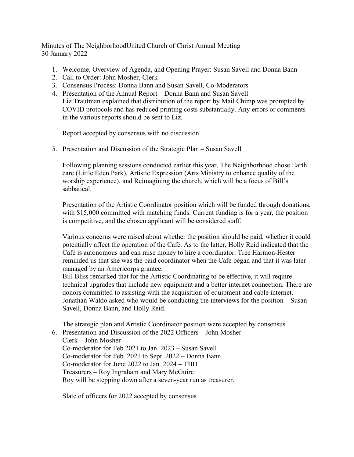Minutes of The NeighborhoodUnited Church of Christ Annual Meeting 30 January 2022

- 1. Welcome, Overview of Agenda, and Opening Prayer: Susan Savell and Donna Bann
- 2. Call to Order: John Mosher, Clerk
- 3. Consensus Process: Donna Bann and Susan Savell, Co-Moderators
- 4. Presentation of the Annual Report Donna Bann and Susan Savell Liz Trautman explained that distribution of the report by Mail Chimp was prompted by COVID protocols and has reduced printing costs substantially. Any errors or comments in the various reports should be sent to Liz.

Report accepted by consensus with no discussion

5. Presentation and Discussion of the Strategic Plan – Susan Savell

Following planning sessions conducted earlier this year, The Neighborhood chose Earth care (Little Eden Park), Artistic Expression (Arts Ministry to enhance quality of the worship experience), and Reimagining the church, which will be a focus of Bill's sabbatical.

Presentation of the Artistic Coordinator position which will be funded through donations, with \$15,000 committed with matching funds. Current funding is for a year, the position is competitive, and the chosen applicant will be considered staff.

Various concerns were raised about whether the position should be paid, whether it could potentially affect the operation of the Café. As to the latter, Holly Reid indicated that the Café is autonomous and can raise money to hire a coordinator. Tree Harmon-Hester reminded us that she was the paid coordinator when the Café began and that it was later managed by an Americorps grantee.

Bill Bliss remarked that for the Artistic Coordinating to be effective, it will require technical upgrades that include new equipment and a better internet connection. There are donors committed to assisting with the acquisition of equipment and cable internet. Jonathan Waldo asked who would be conducting the interviews for the position – Susan Savell, Donna Bann, and Holly Reid.

The strategic plan and Artistic Coordinator position were accepted by consensus 6. Presentation and Discussion of the 2022 Officers – John Mosher

Clerk – John Mosher

Co-moderator for Feb 2021 to Jan. 2023 – Susan Savell Co-moderator for Feb. 2021 to Sept. 2022 – Donna Bann Co-moderator for June 2022 to Jan. 2024 – TBD Treasurers – Roy Ingraham and Mary McGuire Roy will be stepping down after a seven-year run as treasurer.

Slate of officers for 2022 accepted by consensus